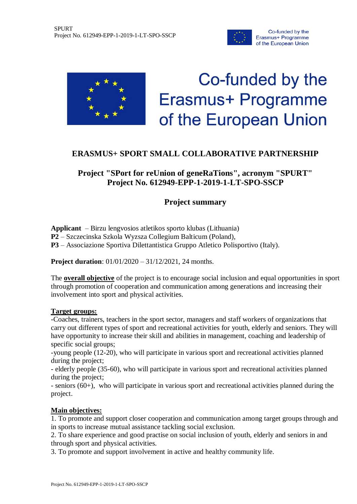



# Co-funded by the Erasmus+ Programme of the European Union

## **ERASMUS+ SPORT SMALL COLLABORATIVE PARTNERSHIP**

**Project "SPort for reUnion of geneRaTions", acronym "SPURT" Project No. 612949-EPP-1-2019-1-LT-SPO-SSCP** 

## **Project summary**

**Applicant** – Birzu lengvosios atletikos sporto klubas (Lithuania) **P2** – Szczecinska Szkola Wyzsza Collegium Balticum (Poland), **P3** – Associazione Sportiva Dilettantistica Gruppo Atletico Polisportivo (Italy).

**Project duration**: 01/01/2020 – 31/12/2021, 24 months.

The **overall objective** of the project is to encourage social inclusion and equal opportunities in sport through promotion of cooperation and communication among generations and increasing their involvement into sport and physical activities.

#### **Target groups:**

-Coaches, trainers, teachers in the sport sector, managers and staff workers of organizations that carry out different types of sport and recreational activities for youth, elderly and seniors. They will have opportunity to increase their skill and abilities in management, coaching and leadership of specific social groups;

-young people (12-20), who will participate in various sport and recreational activities planned during the project;

- elderly people (35-60), who will participate in various sport and recreational activities planned during the project;

- seniors (60+), who will participate in various sport and recreational activities planned during the project.

### **Main objectives:**

1. To promote and support closer cooperation and communication among target groups through and in sports to increase mutual assistance tackling social exclusion.

2. To share experience and good practise on social inclusion of youth, elderly and seniors in and through sport and physical activities.

3. To promote and support involvement in active and healthy community life.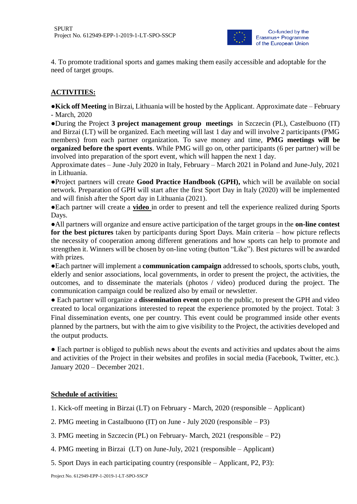

4. To promote traditional sports and games making them easily accessible and adoptable for the need of target groups.

#### **ACTIVITIES:**

**●Kick off Meeting** in Birzai, Lithuania will be hosted by the Applicant. Approximate date – February - March, 2020

**●**During the Project **3 project management group meetings** in Szczecin (PL), Castelbuono (IT) and Birzai (LT) will be organized. Each meeting will last 1 day and will involve 2 participants (PMG members) from each partner organization. To save money and time, **PMG meetings will be organized before the sport events**. While PMG will go on, other participants (6 per partner) will be involved into preparation of the sport event, which will happen the next 1 day.

Approximate dates – June -July 2020 in Italy, February – March 2021 in Poland and June-July, 2021 in Lithuania.

**●**Project partners will create **Good Practice Handbook (GPH),** which will be available on social network. Preparation of GPH will start after the first Sport Day in Italy (2020) will be implemented and will finish after the Sport day in Lithuania (2021).

**●**Each partner will create a **video** in order to present and tell the experience realized during Sports Days.

**●**All partners will organize and ensure active participation of the target groups in the **on-line contest for the best pictures** taken by participants during Sport Days. Main criteria – how picture reflects the necessity of cooperation among different generations and how sports can help to promote and strengthen it. Winners will be chosen by on-line voting (button "Like"). Best pictures will be awarded with prizes.

**●**Each partner will implement a **communication campaign** addressed to schools, sports clubs, youth, elderly and senior associations, local governments, in order to present the project, the activities, the outcomes, and to disseminate the materials (photos / video) produced during the project. The communication campaign could be realized also by email or newsletter.

**●** Each partner will organize a **dissemination event** open to the public, to present the GPH and video created to local organizations interested to repeat the experience promoted by the project. Total: 3 Final dissemination events, one per country. This event could be programmed inside other events planned by the partners, but with the aim to give visibility to the Project, the activities developed and the output products.

● Each partner is obliged to publish news about the events and activities and updates about the aims and activities of the Project in their websites and profiles in social media (Facebook, Twitter, etc.). January 2020 – December 2021.

#### **Schedule of activities:**

- 1. Kick-off meeting in Birzai (LT) on February March, 2020 (responsible Applicant)
- 2. PMG meeting in Castalbuono (IT) on June July 2020 (responsible P3)
- 3. PMG meeting in Szczecin (PL) on February- March, 2021 (responsible P2)
- 4. PMG meeting in Birzai (LT) on June-July, 2021 (responsible Applicant)
- 5. Sport Days in each participating country (responsible Applicant, P2, P3):